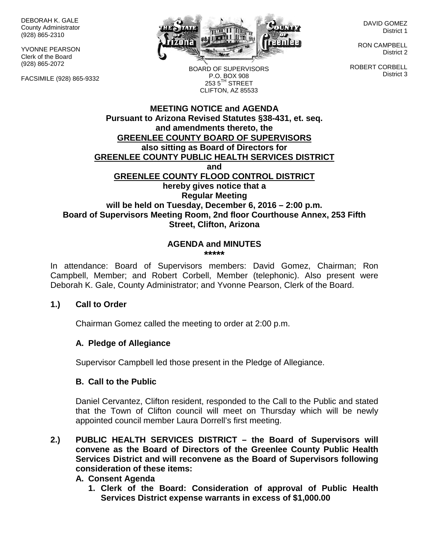DEBORAH K. GALE County Administrator (928) 865-2310

YVONNE PEARSON Clerk of the Board (928) 865-2072

FACSIMILE (928) 865-9332



DAVID GOMEZ District 1

RON CAMPBELL District 2

ROBERT CORBELL District 3

BOARD OF SUPERVISORS P.O. BOX 908  $253.5$ <sup>TH</sup> STREET CLIFTON, AZ 85533

## **MEETING NOTICE and AGENDA Pursuant to Arizona Revised Statutes §38-431, et. seq. and amendments thereto, the GREENLEE COUNTY BOARD OF SUPERVISORS also sitting as Board of Directors for GREENLEE COUNTY PUBLIC HEALTH SERVICES DISTRICT and GREENLEE COUNTY FLOOD CONTROL DISTRICT hereby gives notice that a Regular Meeting will be held on Tuesday, December 6, 2016 – 2:00 p.m. Board of Supervisors Meeting Room, 2nd floor Courthouse Annex, 253 Fifth Street, Clifton, Arizona**

#### **AGENDA and MINUTES \*\*\*\*\***

In attendance: Board of Supervisors members: David Gomez, Chairman; Ron Campbell, Member; and Robert Corbell, Member (telephonic). Also present were Deborah K. Gale, County Administrator; and Yvonne Pearson, Clerk of the Board.

## **1.) Call to Order**

Chairman Gomez called the meeting to order at 2:00 p.m.

## **A. Pledge of Allegiance**

Supervisor Campbell led those present in the Pledge of Allegiance.

## **B. Call to the Public**

Daniel Cervantez, Clifton resident, responded to the Call to the Public and stated that the Town of Clifton council will meet on Thursday which will be newly appointed council member Laura Dorrell's first meeting.

**2.) PUBLIC HEALTH SERVICES DISTRICT – the Board of Supervisors will convene as the Board of Directors of the Greenlee County Public Health Services District and will reconvene as the Board of Supervisors following consideration of these items:**

## **A. Consent Agenda**

**1. Clerk of the Board: Consideration of approval of Public Health Services District expense warrants in excess of \$1,000.00**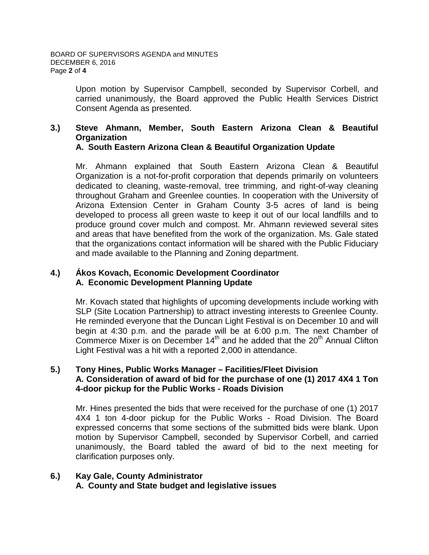Upon motion by Supervisor Campbell, seconded by Supervisor Corbell, and carried unanimously, the Board approved the Public Health Services District Consent Agenda as presented.

#### **3.) Steve Ahmann, Member, South Eastern Arizona Clean & Beautiful Organization A. South Eastern Arizona Clean & Beautiful Organization Update**

Mr. Ahmann explained that South Eastern Arizona Clean & Beautiful Organization is a not-for-profit corporation that depends primarily on volunteers dedicated to cleaning, waste-removal, tree trimming, and right-of-way cleaning throughout Graham and Greenlee counties. In cooperation with the University of Arizona Extension Center in Graham County 3-5 acres of land is being developed to process all green waste to keep it out of our local landfills and to produce ground cover mulch and compost. Mr. Ahmann reviewed several sites and areas that have benefited from the work of the organization. Ms. Gale stated that the organizations contact information will be shared with the Public Fiduciary and made available to the Planning and Zoning department.

## **4.) Ákos Kovach, Economic Development Coordinator A. Economic Development Planning Update**

Mr. Kovach stated that highlights of upcoming developments include working with SLP (Site Location Partnership) to attract investing interests to Greenlee County. He reminded everyone that the Duncan Light Festival is on December 10 and will begin at 4:30 p.m. and the parade will be at 6:00 p.m. The next Chamber of Commerce Mixer is on December  $14<sup>th</sup>$  and he added that the  $20<sup>th</sup>$  Annual Clifton Light Festival was a hit with a reported 2,000 in attendance.

## **5.) Tony Hines, Public Works Manager – Facilities/Fleet Division A. Consideration of award of bid for the purchase of one (1) 2017 4X4 1 Ton 4-door pickup for the Public Works - Roads Division**

Mr. Hines presented the bids that were received for the purchase of one (1) 2017 4X4 1 ton 4-door pickup for the Public Works - Road Division. The Board expressed concerns that some sections of the submitted bids were blank. Upon motion by Supervisor Campbell, seconded by Supervisor Corbell, and carried unanimously, the Board tabled the award of bid to the next meeting for clarification purposes only.

#### **6.) Kay Gale, County Administrator A. County and State budget and legislative issues**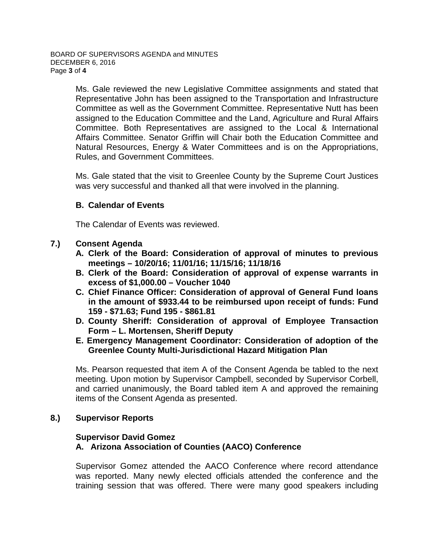Ms. Gale reviewed the new Legislative Committee assignments and stated that Representative John has been assigned to the Transportation and Infrastructure Committee as well as the Government Committee. Representative Nutt has been assigned to the Education Committee and the Land, Agriculture and Rural Affairs Committee. Both Representatives are assigned to the Local & International Affairs Committee. Senator Griffin will Chair both the Education Committee and Natural Resources, Energy & Water Committees and is on the Appropriations, Rules, and Government Committees.

Ms. Gale stated that the visit to Greenlee County by the Supreme Court Justices was very successful and thanked all that were involved in the planning.

## **B. Calendar of Events**

The Calendar of Events was reviewed.

## **7.) Consent Agenda**

- **A. Clerk of the Board: Consideration of approval of minutes to previous meetings – 10/20/16; 11/01/16; 11/15/16; 11/18/16**
- **B. Clerk of the Board: Consideration of approval of expense warrants in excess of \$1,000.00 – Voucher 1040**
- **C. Chief Finance Officer: Consideration of approval of General Fund loans in the amount of \$933.44 to be reimbursed upon receipt of funds: Fund 159 - \$71.63; Fund 195 - \$861.81**
- **D. County Sheriff: Consideration of approval of Employee Transaction Form – L. Mortensen, Sheriff Deputy**
- **E. Emergency Management Coordinator: Consideration of adoption of the Greenlee County Multi-Jurisdictional Hazard Mitigation Plan**

Ms. Pearson requested that item A of the Consent Agenda be tabled to the next meeting. Upon motion by Supervisor Campbell, seconded by Supervisor Corbell, and carried unanimously, the Board tabled item A and approved the remaining items of the Consent Agenda as presented.

## **8.) Supervisor Reports**

#### **Supervisor David Gomez A. Arizona Association of Counties (AACO) Conference**

Supervisor Gomez attended the AACO Conference where record attendance was reported. Many newly elected officials attended the conference and the training session that was offered. There were many good speakers including